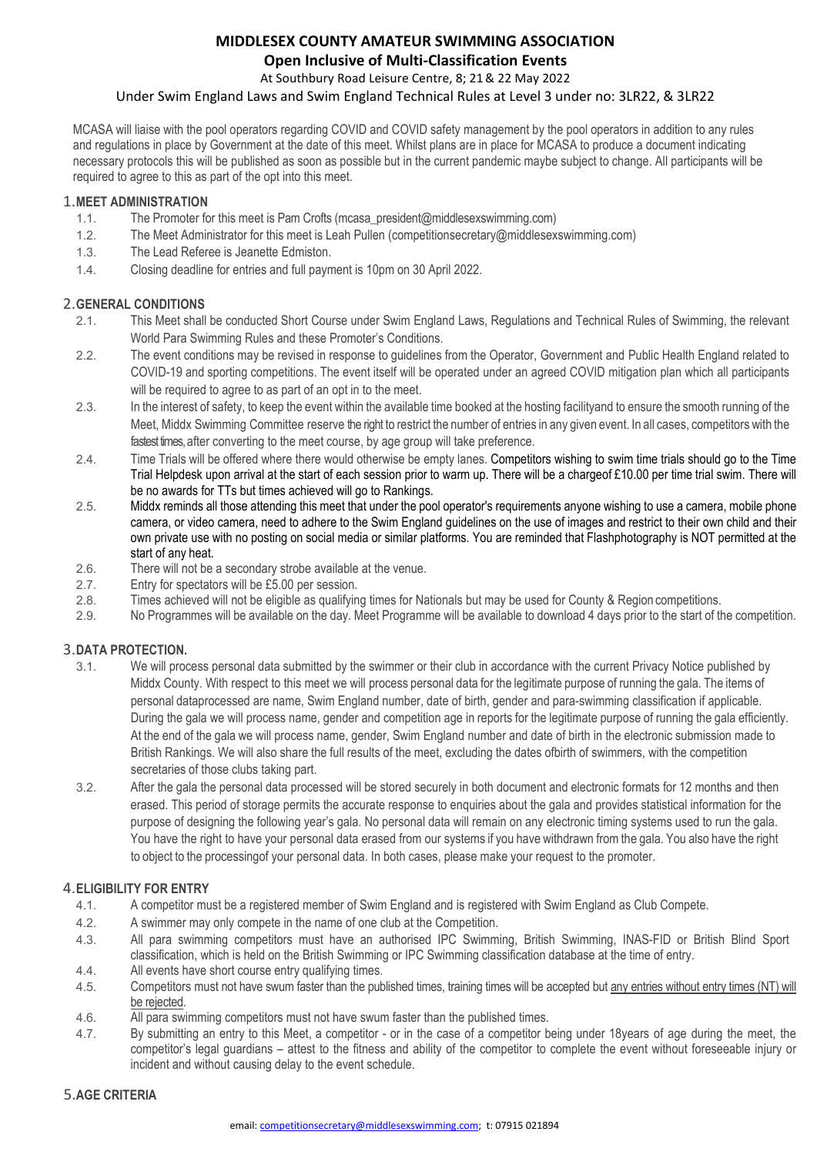### **MIDDLESEX COUNTY AMATEUR SWIMMING ASSOCIATION Open Inclusive of Multi-Classification Events**

At Southbury Road Leisure Centre, 8; 21& 22 May 2022

#### Under Swim England Laws and Swim England Technical Rules at Level 3 under no: 3LR22, & 3LR22

MCASA will liaise with the pool operators regarding COVID and COVID safety management by the pool operators in addition to any rules and regulations in place by Government at the date of this meet. Whilst plans are in place for MCASA to produce a document indicating necessary protocols this will be published as soon as possible but in the current pandemic maybe subject to change. All participants will be required to agree to this as part of the opt into this meet.

### 1.**MEET ADMINISTRATION**

- The Promoter for this meet is Pam Crofts (mcasa\_president@middlesexswimming.com)
- 1.2. The Meet Administrator for this meet is Leah Pullen (competitionsecretary@middlesexswimming.com)
- 1.3. The Lead Referee is Jeanette Edmiston.
- 1.4. Closing deadline for entries and full payment is 10pm on 30 April 2022.

### 2.**GENERAL CONDITIONS**

- 2.1. This Meet shall be conducted Short Course under Swim England Laws, Regulations and Technical Rules of Swimming, the relevant World Para Swimming Rules and these Promoter's Conditions.
- 2.2. The event conditions may be revised in response to guidelines from the Operator, Government and Public Health England related to COVID-19 and sporting competitions. The event itself will be operated under an agreed COVID mitigation plan which all participants will be required to agree to as part of an opt in to the meet.
- 2.3. In the interest of safety, to keep the event within the available time booked at the hosting facilityand to ensure the smooth running of the Meet, Middx Swimming Committee reserve the right to restrict the number of entries in any given event. In all cases, competitors with the fastest times, after converting to the meet course, by age group will take preference.
- 2.4. Time Trials will be offered where there would otherwise be empty lanes. Competitors wishing to swim time trials should go to the Time Trial Helpdesk upon arrival at the start of each session prior to warm up. There will be a chargeof £10.00 per time trial swim. There will be no awards for TTs but times achieved will go to Rankings.
- 2.5. Middx reminds all those attending this meet that under the pool operator's requirements anyone wishing to use a camera, mobile phone camera, or video camera, need to adhere to the Swim England guidelines on the use of images and restrict to their own child and their own private use with no posting on social media or similar platforms. You are reminded that Flashphotography is NOT permitted at the start of any heat.
- 2.6. There will not be a secondary strobe available at the venue.
- 2.7. Entry for spectators will be £5.00 per session.
- 2.8. Times achieved will not be eligible as qualifying times for Nationals but may be used for County & Region competitions.
- 2.9. No Programmes will be available on the day. Meet Programme will be available to download 4 days prior to the start of the competition.

### 3.**DATA PROTECTION.**

- We will process personal data submitted by the swimmer or their club in accordance with the current Privacy Notice published by Middx County. With respect to this meet we will process personal data for the legitimate purpose of running the gala. The items of personal dataprocessed are name, Swim England number, date of birth, gender and para-swimming classification if applicable. During the gala we will process name, gender and competition age in reports for the legitimate purpose of running the gala efficiently. At the end of the gala we will process name, gender, Swim England number and date of birth in the electronic submission made to British Rankings. We will also share the full results of the meet, excluding the dates ofbirth of swimmers, with the competition secretaries of those clubs taking part.
- 3.2. After the gala the personal data processed will be stored securely in both document and electronic formats for 12 months and then erased. This period of storage permits the accurate response to enquiries about the gala and provides statistical information for the purpose of designing the following year's gala. No personal data will remain on any electronic timing systems used to run the gala. You have the right to have your personal data erased from our systems if you have withdrawn from the gala. You also have the right to object to the processingof your personal data. In both cases, please make your request to the promoter.

### 4.**ELIGIBILITY FOR ENTRY**

- 4.1. A competitor must be a registered member of Swim England and is registered with Swim England as Club Compete.
- 4.2. A swimmer may only compete in the name of one club at the Competition.
- 4.3. All para swimming competitors must have an authorised IPC Swimming, British Swimming, INAS-FID or British Blind Sport classification, which is held on the British Swimming or IPC Swimming classification database at the time of entry.
- 4.4. All events have short course entry qualifying times.
- 4.5. Competitors must not have swum faster than the published times, training times will be accepted but any entries without entry times (NT) will be rejected.
- 4.6. All para swimming competitors must not have swum faster than the published times.<br>4.7. By submitting an entry to this Meet, a competitor or in the case of a competitor b
- 4.7. By submitting an entry to this Meet, a competitor or in the case of a competitor being under 18years of age during the meet, the competitor's legal guardians – attest to the fitness and ability of the competitor to complete the event without foreseeable injury or incident and without causing delay to the event schedule.

#### 5.**AGE CRITERIA**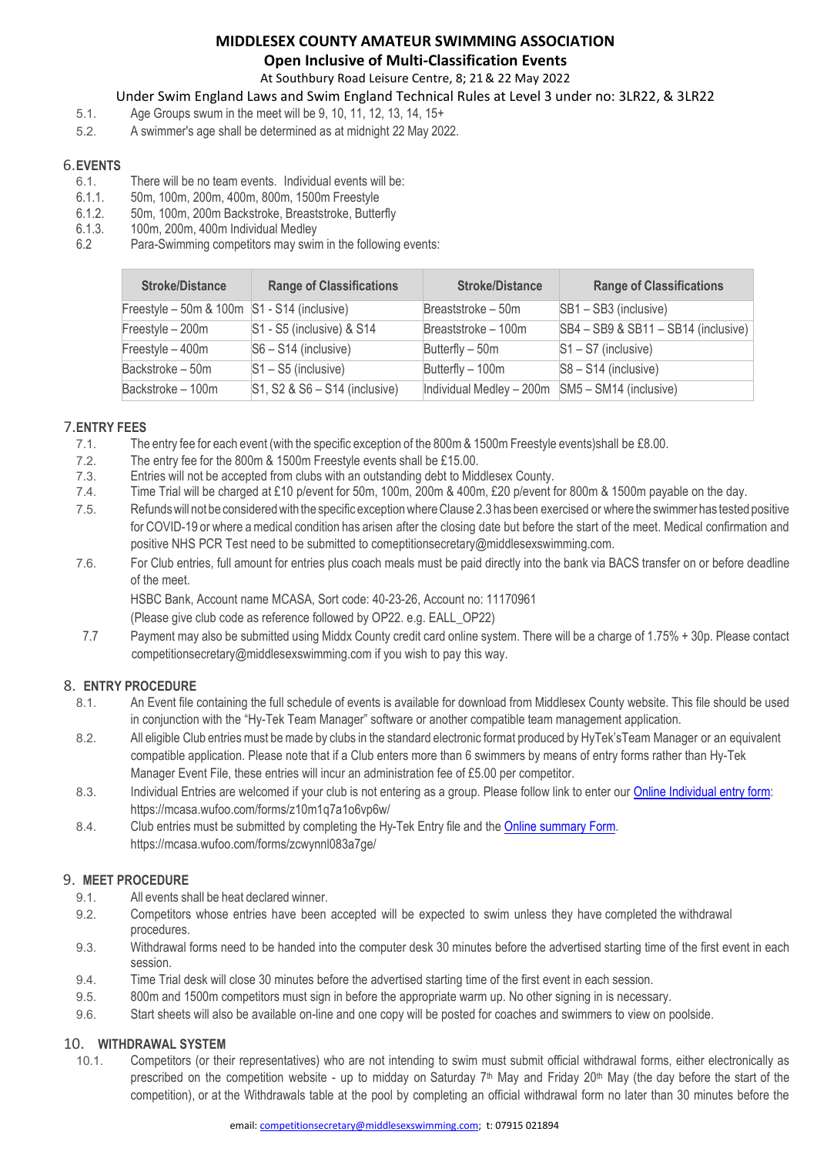### **MIDDLESEX COUNTY AMATEUR SWIMMING ASSOCIATION Open Inclusive of Multi-Classification Events**

### At Southbury Road Leisure Centre, 8; 21& 22 May 2022

### Under Swim England Laws and Swim England Technical Rules at Level 3 under no: 3LR22, & 3LR22

- 5.1. Age Groups swum in the meet will be 9, 10, 11, 12, 13, 14, 15+
- 5.2. A swimmer's age shall be determined as at midnight 22 May 2022.

# 6.**EVENTS**

- 6.1. There will be no team events. Individual events will be:<br>6.1.1. 50m, 100m, 200m, 400m, 800m, 1500m Freestyle
- 6.1.1. 50m, 100m, 200m, 400m, 800m, 1500m Freestyle
- 6.1.2. 50m, 100m, 200m Backstroke, Breaststroke, Butterfly
- 6.1.3. 100m, 200m, 400m Individual Medley
- Para-Swimming competitors may swim in the following events:

| <b>Stroke/Distance</b>                      | <b>Range of Classifications</b>                                               | <b>Stroke/Distance</b>                             | <b>Range of Classifications</b>     |
|---------------------------------------------|-------------------------------------------------------------------------------|----------------------------------------------------|-------------------------------------|
| Freestyle - 50m & 100m S1 - S14 (inclusive) |                                                                               | Breaststroke - 50m                                 | $ SB1 - SB3$ (inclusive)            |
| Freestyle - 200m                            | $\textsf{S}1$ - S5 (inclusive) & S14                                          | Breaststroke - 100m                                | SB4 - SB9 & SB11 - SB14 (inclusive) |
| Freestyle - 400m                            | $ S6 - S14$ (inclusive)                                                       | Butterfly - 50m                                    | $S1 - S7$ (inclusive)               |
| Backstroke - 50m                            | $S1 - S5$ (inclusive)                                                         | Butterfly - 100m                                   | S8 - S14 (inclusive)                |
| Backstroke - 100m                           | $\textsf{S1}, \textsf{S2} \& \textsf{S6} - \textsf{S14} \textsf{(inclusive)}$ | Individual Medley $-200m$ SM5 $-$ SM14 (inclusive) |                                     |

## 7.**ENTRY FEES**

- The entry fee for each event (with the specific exception of the 800m & 1500m Freestyle events)shall be £8.00.
- 7.2. The entry fee for the 800m & 1500m Freestyle events shall be £15.00.<br>7.3. Entries will not be accepted from clubs with an outstanding debt to Mid
- Entries will not be accepted from clubs with an outstanding debt to Middlesex County.
- 7.4. Time Trial will be charged at £10 p/event for 50m, 100m, 200m & 400m, £20 p/event for 800m & 1500m payable on the day.
- 7.5. Refundswill not be consideredwith the specific exceptionwhereClause 2.3 has been exercised or where the swimmer has tested positive for COVID-19 or where a medical condition has arisen after the closing date but before the start of the meet. Medical confirmation and positive NHS PCR Test need to be submitted to comeptitionsecretary@middlesexswimming.com.
- 7.6. For Club entries, full amount for entries plus coach meals must be paid directly into the bank via BACS transfer on or before deadline of the meet.

HSBC Bank, Account name MCASA, Sort code: 40-23-26, Account no: 11170961

(Please give club code as reference followed by OP22. e.g. EALL\_OP22)

7.7 Payment may also be submitted using Middx County credit card online system. There will be a charge of 1.75% + 30p. Please contact competitionsecretary@middlesexswimming.com if you wish to pay this way.

## 8. **ENTRY PROCEDURE**

- 8.1. An Event file containing the full schedule of events is available for download from Middlesex County website. This file should be used in conjunction with the "Hy-Tek Team Manager" software or another compatible team management application.
- 8.2. All eligible Club entries must bemade by clubs in the standard electronic format produced by HyTek'sTeam Manager or an equivalent compatible application. Please note that if a Club enters more than 6 swimmers by means of entry forms rather than Hy-Tek Manager Event File, these entries will incur an administration fee of £5.00 per competitor.
- 8.3. Individual Entries are welcomed if your club is not entering as a group. Please follow link to enter our Online Individual entry form: https://mcasa.wufoo.com/forms/z10m1q7a1o6vp6w/
- 8.4. Club entries must be submitted by completing the Hy-Tek Entry file and the [Online summary Form.](https://mcasa.wufoo.com/forms/zcwynnl083a7ge/) https://mcasa.wufoo.com/forms/zcwynnl083a7ge/

### 9. **MEET PROCEDURE**

- 9.1. All events shall be heat declared winner.
- 9.2. Competitors whose entries have been accepted will be expected to swim unless they have completed the withdrawal procedures.
- 9.3. Withdrawal forms need to be handed into the computer desk 30 minutes before the advertised starting time of the first event in each session.
- 9.4. Time Trial desk will close 30 minutes before the advertised starting time of the first event in each session.
- 9.5. 800m and 1500m competitors must sign in before the appropriate warm up. No other signing in is necessary.
- 9.6. Start sheets will also be available on-line and one copy will be posted for coaches and swimmers to view on poolside.

### 10. **WITHDRAWAL SYSTEM**

10.1. Competitors (or their representatives) who are not intending to swim must submit official withdrawal forms, either electronically as prescribed on the competition website - up to midday on Saturday  $7<sup>th</sup>$  May and Friday  $20<sup>th</sup>$  May (the day before the start of the competition), or at the Withdrawals table at the pool by completing an official withdrawal form no later than 30 minutes before the